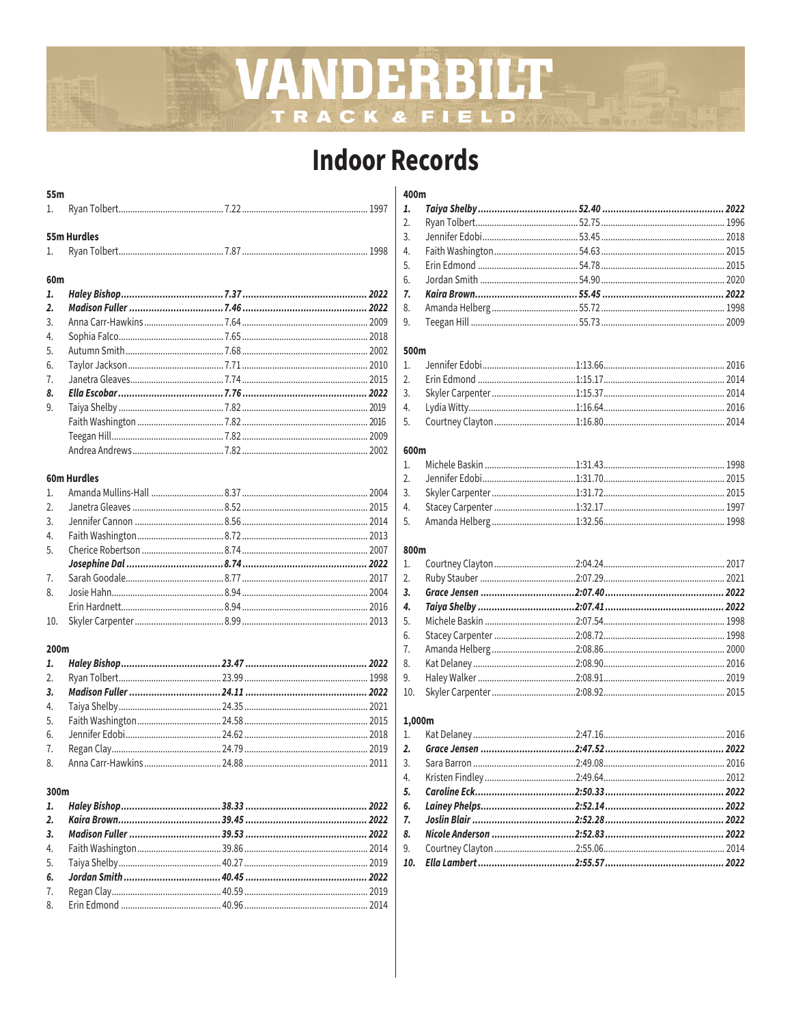## VANDERBILT TRACK & FIELD

## **Indoor Records**

| 55m              |                    |  |
|------------------|--------------------|--|
| 1.               |                    |  |
|                  | <b>55m Hurdles</b> |  |
|                  |                    |  |
| 1.               |                    |  |
| 60m              |                    |  |
| 1.               |                    |  |
| $\overline{2}$ . |                    |  |
| 3.               |                    |  |
| 4.               |                    |  |
| 5.               |                    |  |
| 6.               |                    |  |
| 7.               |                    |  |
| 8.               |                    |  |
| 9.               |                    |  |
|                  |                    |  |
|                  |                    |  |
|                  |                    |  |
|                  |                    |  |
|                  | <b>60m Hurdles</b> |  |
|                  |                    |  |

#### 200m

#### 300m

#### 400m

#### 500m

### 600m

#### 800m

#### 1,000m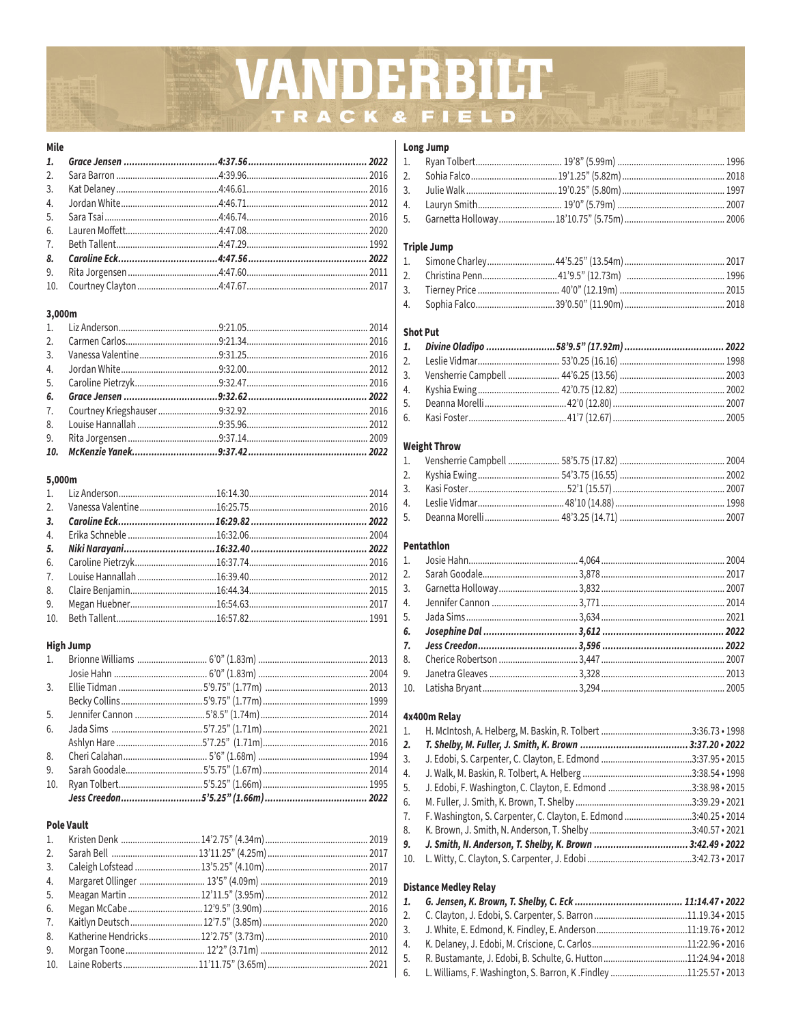# VANDERBILT TRACK & FIELD

#### Mile

## 3,000m

#### 5,000m

#### **High Jump**

| 5. |  |  |
|----|--|--|
| 6. |  |  |
|    |  |  |
|    |  |  |
| 9. |  |  |
|    |  |  |
|    |  |  |

## **Pole Vault**

| $10 \quad$ Laine Roberts $11'1175'' (3.65m)$ 2021 |  |
|---------------------------------------------------|--|

## Long Jump

#### **Triple Jump**

#### **Shot Put**

#### **Weight Throw**

#### Pentathlon

#### 4x400m Relay

| 1. |                                                                   |  |
|----|-------------------------------------------------------------------|--|
| 2. |                                                                   |  |
| 3. |                                                                   |  |
| 4. |                                                                   |  |
| 5. | J. Edobi, F. Washington, C. Clayton, E. Edmond 3:38.98 · 2015     |  |
| 6. |                                                                   |  |
| 7. | F. Washington, S. Carpenter, C. Clayton, E. Edmond 3:40.25 · 2014 |  |
| 8. |                                                                   |  |
| 9. |                                                                   |  |
|    |                                                                   |  |

#### **Distance Medley Relay**

| 6. L. Williams, F. Washington, S. Barron, K. Findley11:25.57 • 2013 |  |
|---------------------------------------------------------------------|--|